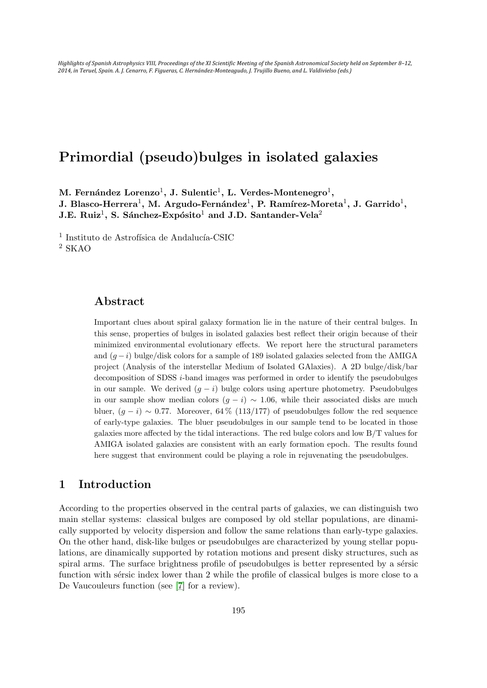Highlights of Spanish Astrophysics VIII, Proceedings of the XI Scientific Meeting of the Spanish Astronomical Society held on September 8-12, 2014, in Teruel, Spain. A. J. Cenarro, F. Figueras, C. Hernández-Monteagudo, J. Trujillo Bueno, and L. Valdivielso (eds.)

# Primordial (pseudo)bulges in isolated galaxies

M. Fernández Lorenzo $^1,$  J. Sulentic $^1,$  L. Verdes-Montenegro $^1,$ J. Blasco-Herrera $^1$ , M. Argudo-Fernández $^1$ , P. Ramírez-Moreta $^1$ , J. Garrido $^1$ , J.E. Ruiz<sup>1</sup>, S. Sánchez-Expósito<sup>1</sup> and J.D. Santander-Vela<sup>2</sup>

 $^1$ Instituto de Astrofísica de Andalucía-CSIC <sup>2</sup> SKAO

# Abstract

Important clues about spiral galaxy formation lie in the nature of their central bulges. In this sense, properties of bulges in isolated galaxies best reflect their origin because of their minimized environmental evolutionary effects. We report here the structural parameters and  $(q - i)$  bulge/disk colors for a sample of 189 isolated galaxies selected from the AMIGA project (Analysis of the interstellar Medium of Isolated GAlaxies). A 2D bulge/disk/bar decomposition of SDSS i-band images was performed in order to identify the pseudobulges in our sample. We derived  $(g - i)$  bulge colors using aperture photometry. Pseudobulges in our sample show median colors  $(g - i) \sim 1.06$ , while their associated disks are much bluer,  $(q - i) \sim 0.77$ . Moreover, 64 % (113/177) of pseudobulges follow the red sequence of early-type galaxies. The bluer pseudobulges in our sample tend to be located in those galaxies more affected by the tidal interactions. The red bulge colors and low B/T values for AMIGA isolated galaxies are consistent with an early formation epoch. The results found here suggest that environment could be playing a role in rejuvenating the pseudobulges.

# 1 Introduction

According to the properties observed in the central parts of galaxies, we can distinguish two main stellar systems: classical bulges are composed by old stellar populations, are dinamically supported by velocity dispersion and follow the same relations than early-type galaxies. On the other hand, disk-like bulges or pseudobulges are characterized by young stellar populations, are dinamically supported by rotation motions and present disky structures, such as spiral arms. The surface brightness profile of pseudobulges is better represented by a sérsic function with sersic index lower than 2 while the profile of classical bulges is more close to a De Vaucouleurs function (see [\[7\]](#page-4-0) for a review).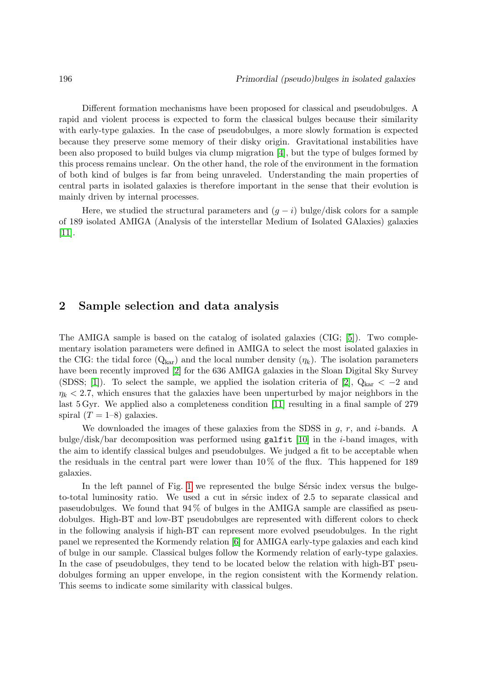Different formation mechanisms have been proposed for classical and pseudobulges. A rapid and violent process is expected to form the classical bulges because their similarity with early-type galaxies. In the case of pseudobulges, a more slowly formation is expected because they preserve some memory of their disky origin. Gravitational instabilities have been also proposed to build bulges via clump migration [\[4\]](#page-4-1), but the type of bulges formed by this process remains unclear. On the other hand, the role of the environment in the formation of both kind of bulges is far from being unraveled. Understanding the main properties of central parts in isolated galaxies is therefore important in the sense that their evolution is mainly driven by internal processes.

Here, we studied the structural parameters and  $(q - i)$  bulge/disk colors for a sample of 189 isolated AMIGA (Analysis of the interstellar Medium of Isolated GAlaxies) galaxies [\[11\]](#page-5-0).

#### 2 Sample selection and data analysis

The AMIGA sample is based on the catalog of isolated galaxies (CIG; [\[5\]](#page-4-2)). Two complementary isolation parameters were defined in AMIGA to select the most isolated galaxies in the CIG: the tidal force  $(Q_{\text{kar}})$  and the local number density  $(\eta_k)$ . The isolation parameters have been recently improved [\[2\]](#page-4-3) for the 636 AMIGA galaxies in the Sloan Digital Sky Survey (SDSS; [\[1\]](#page-4-4)). To select the sample, we applied the isolation criteria of [\[2\]](#page-4-3),  $Q_{\text{kar}} < -2$  and  $\eta_k$  < 2.7, which ensures that the galaxies have been unperturbed by major neighbors in the last 5 Gyr. We applied also a completeness condition [\[11\]](#page-5-0) resulting in a final sample of 279 spiral  $(T = 1-8)$  galaxies.

We downloaded the images of these galaxies from the SDSS in  $q, r$ , and *i*-bands. A bulge/disk/bar decomposition was performed using galfit  $[10]$  in the *i*-band images, with the aim to identify classical bulges and pseudobulges. We judged a fit to be acceptable when the residuals in the central part were lower than  $10\%$  of the flux. This happened for 189 galaxies.

In the left pannel of Fig. [1](#page-2-0) we represented the bulge-Sérsic index versus the bulgeto-total luminosity ratio. We used a cut in sérsic index of 2.5 to separate classical and paseudobulges. We found that  $94\%$  of bulges in the AMIGA sample are classified as pseudobulges. High-BT and low-BT pseudobulges are represented with different colors to check in the following analysis if high-BT can represent more evolved pseudobulges. In the right panel we represented the Kormendy relation [\[6\]](#page-4-5) for AMIGA early-type galaxies and each kind of bulge in our sample. Classical bulges follow the Kormendy relation of early-type galaxies. In the case of pseudobulges, they tend to be located below the relation with high-BT pseudobulges forming an upper envelope, in the region consistent with the Kormendy relation. This seems to indicate some similarity with classical bulges.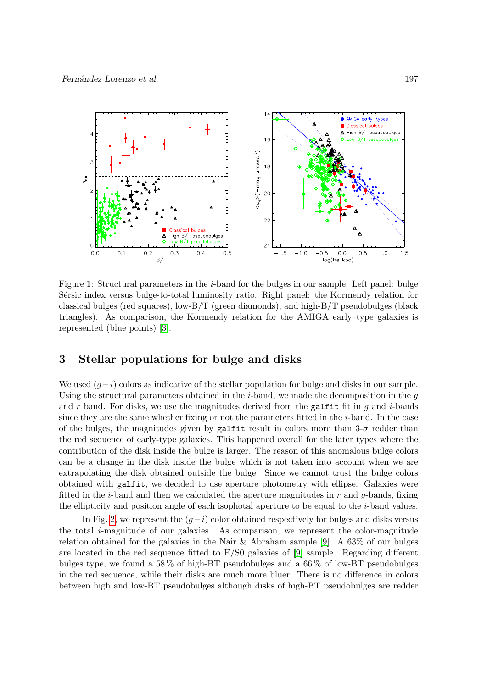

<span id="page-2-0"></span>Figure 1: Structural parameters in the *i*-band for the bulges in our sample. Left panel: bulge Sérsic index versus bulge-to-total luminosity ratio. Right panel: the Kormendy relation for classical bulges (red squares), low- $B/T$  (green diamonds), and high- $B/T$  pseudobulges (black triangles). As comparison, the Kormendy relation for the AMIGA early–type galaxies is represented (blue points) [\[3\]](#page-4-6).

#### 3 Stellar populations for bulge and disks

We used  $(q-i)$  colors as indicative of the stellar population for bulge and disks in our sample. Using the structural parameters obtained in the  $i$ -band, we made the decomposition in the  $q$ and r band. For disks, we use the magnitudes derived from the galfit fit in  $g$  and  $i$ -bands since they are the same whether fixing or not the parameters fitted in the  $i$ -band. In the case of the bulges, the magnitudes given by galfit result in colors more than  $3-\sigma$  redder than the red sequence of early-type galaxies. This happened overall for the later types where the contribution of the disk inside the bulge is larger. The reason of this anomalous bulge colors can be a change in the disk inside the bulge which is not taken into account when we are extrapolating the disk obtained outside the bulge. Since we cannot trust the bulge colors obtained with galfit, we decided to use aperture photometry with ellipse. Galaxies were fitted in the *i*-band and then we calculated the aperture magnitudes in  $r$  and  $g$ -bands, fixing the ellipticity and position angle of each isophotal aperture to be equal to the i-band values.

In Fig. [2,](#page-3-0) we represent the  $(g-i)$  color obtained respectively for bulges and disks versus the total i-magnitude of our galaxies. As comparison, we represent the color-magnitude relation obtained for the galaxies in the Nair  $\&$  Abraham sample [\[9\]](#page-5-2). A 63\% of our bulges are located in the red sequence fitted to  $E/S0$  galaxies of [\[9\]](#page-5-2) sample. Regarding different bulges type, we found a 58 % of high-BT pseudobulges and a 66 % of low-BT pseudobulges in the red sequence, while their disks are much more bluer. There is no difference in colors between high and low-BT pseudobulges although disks of high-BT pseudobulges are redder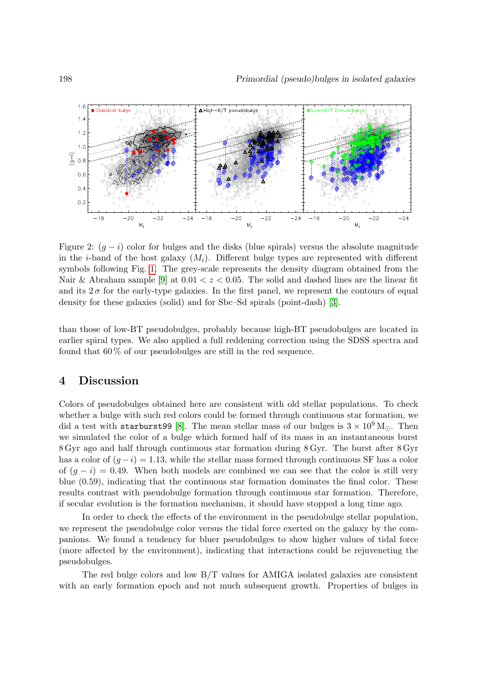

<span id="page-3-0"></span>Figure 2:  $(q - i)$  color for bulges and the disks (blue spirals) versus the absolute magnitude in the *i*-band of the host galaxy  $(M_i)$ . Different bulge types are represented with different symbols following Fig. [1.](#page-2-0) The grey-scale represents the density diagram obtained from the Nair & Abraham sample [\[9\]](#page-5-2) at  $0.01 < z < 0.05$ . The solid and dashed lines are the linear fit and its  $2\sigma$  for the early-type galaxies. In the first panel, we represent the contours of equal density for these galaxies (solid) and for Sbc–Sd spirals (point-dash) [\[3\]](#page-4-6).

than those of low-BT pseudobulges, probably because high-BT pseudobulges are located in earlier spiral types. We also applied a full reddening correction using the SDSS spectra and found that 60 % of our pseudobulges are still in the red sequence.

#### 4 Discussion

Colors of pseudobulges obtained here are consistent with old stellar populations. To check whether a bulge with such red colors could be formed through continuous star formation, we did a test with starburst99 [\[8\]](#page-5-3). The mean stellar mass of our bulges is  $3 \times 10^9$  M<sub> $\odot$ </sub>. Then we simulated the color of a bulge which formed half of its mass in an instantaneous burst 8 Gyr ago and half through continuous star formation during 8 Gyr. The burst after 8 Gyr has a color of  $(g - i) = 1.13$ , while the stellar mass formed through continuous SF has a color of  $(q - i) = 0.49$ . When both models are combined we can see that the color is still very blue (0.59), indicating that the continuous star formation dominates the final color. These results contrast with pseudobulge formation through continuous star formation. Therefore, if secular evolution is the formation mechanism, it should have stopped a long time ago.

In order to check the effects of the environment in the pseudobulge stellar population, we represent the pseudobulge color versus the tidal force exerted on the galaxy by the companions. We found a tendency for bluer pseudobulges to show higher values of tidal force (more affected by the environment), indicating that interactions could be rejuveneting the pseudobulges.

The red bulge colors and low  $B/T$  values for AMIGA isolated galaxies are consistent with an early formation epoch and not much subsequent growth. Properties of bulges in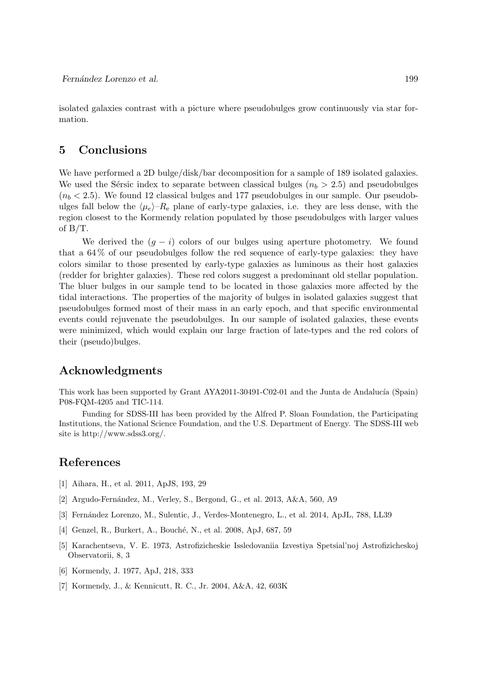isolated galaxies contrast with a picture where pseudobulges grow continuously via star formation.

#### 5 Conclusions

We have performed a 2D bulge/disk/bar decomposition for a sample of 189 isolated galaxies. We used the Sérsic index to separate between classical bulges ( $n_b > 2.5$ ) and pseudobulges  $(n_b < 2.5)$ . We found 12 classical bulges and 177 pseudobulges in our sample. Our pseudobulges fall below the  $\langle\mu_e\rangle-R_{\rm e}$  plane of early-type galaxies, i.e. they are less dense, with the region closest to the Kormendy relation populated by those pseudobulges with larger values of B/T.

We derived the  $(g - i)$  colors of our bulges using aperture photometry. We found that a 64 % of our pseudobulges follow the red sequence of early-type galaxies: they have colors similar to those presented by early-type galaxies as luminous as their host galaxies (redder for brighter galaxies). These red colors suggest a predominant old stellar population. The bluer bulges in our sample tend to be located in those galaxies more affected by the tidal interactions. The properties of the majority of bulges in isolated galaxies suggest that pseudobulges formed most of their mass in an early epoch, and that specific environmental events could rejuvenate the pseudobulges. In our sample of isolated galaxies, these events were minimized, which would explain our large fraction of late-types and the red colors of their (pseudo)bulges.

# Acknowledgments

This work has been supported by Grant AYA2011-30491-C02-01 and the Junta de Andalucía (Spain) P08-FQM-4205 and TIC-114.

Funding for SDSS-III has been provided by the Alfred P. Sloan Foundation, the Participating Institutions, the National Science Foundation, and the U.S. Department of Energy. The SDSS-III web site is http://www.sdss3.org/.

# References

- <span id="page-4-4"></span>[1] Aihara, H., et al. 2011, ApJS, 193, 29
- <span id="page-4-3"></span>[2] Argudo-Fernández, M., Verley, S., Bergond, G., et al. 2013, A&A, 560, A9
- <span id="page-4-6"></span>[3] Fern´andez Lorenzo, M., Sulentic, J., Verdes-Montenegro, L., et al. 2014, ApJL, 788, LL39
- <span id="page-4-1"></span>[4] Genzel, R., Burkert, A., Bouché, N., et al. 2008, ApJ, 687, 59
- <span id="page-4-2"></span>[5] Karachentseva, V. E. 1973, Astrofizicheskie Issledovaniia Izvestiya Spetsial'noj Astrofizicheskoj Observatorii, 8, 3
- <span id="page-4-5"></span>[6] Kormendy, J. 1977, ApJ, 218, 333
- <span id="page-4-0"></span>[7] Kormendy, J., & Kennicutt, R. C., Jr. 2004, A&A, 42, 603K